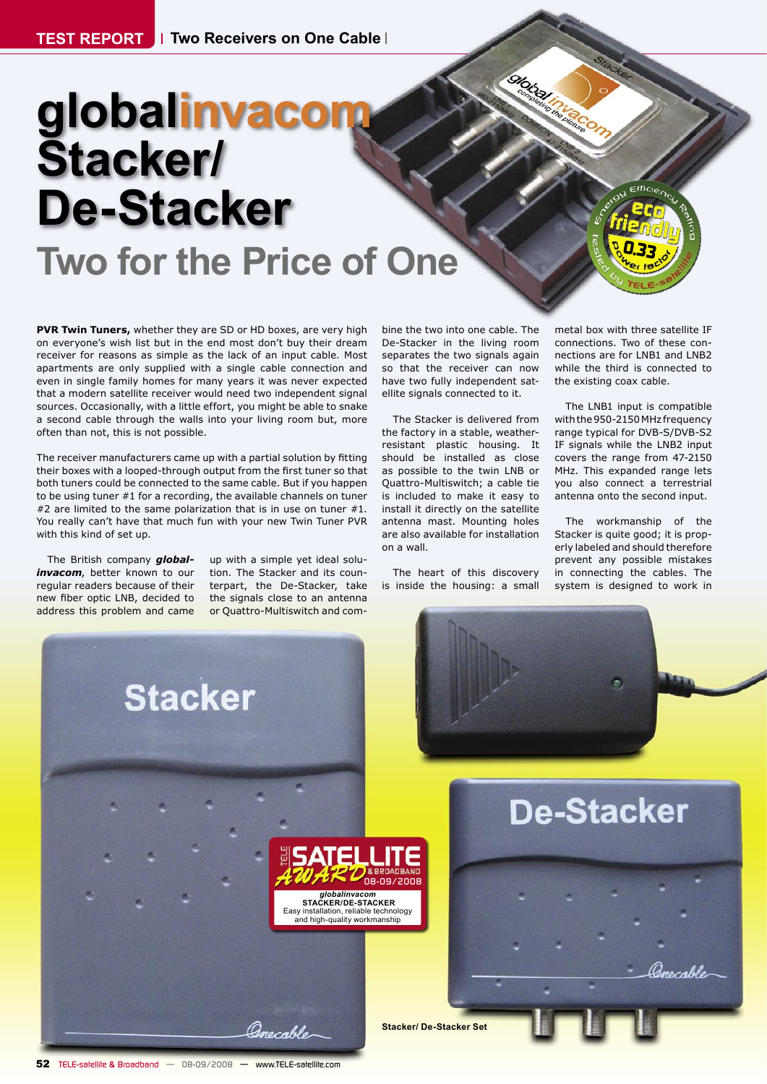# **globalinvaco Stacker/ De-Stacker Two for the Price of One**

**PVR Twin Tuners,** whether they are SD or HD boxes, are very high on everyone's wish list but in the end most don't buy their dream receiver for reasons as simple as the lack of an input cable. Most apartments are only supplied with a single cable connection and even in single family homes for many years it was never expected that a modern satellite receiver would need two independent signal sources. Occasionally, with a little effort, you might be able to snake a second cable through the walls into your living room but, more often than not, this is not possible.

The receiver manufacturers came up with a partial solution by fitting their boxes with a looped-through output from the first tuner so that both tuners could be connected to the same cable. But if you happen to be using tuner #1 for a recording, the available channels on tuner #2 are limited to the same polarization that is in use on tuner #1. You really can't have that much fun with your new Twin Tuner PVR with this kind of set up.

The British company *globalinvacom*, better known to our regular readers because of their new fiber optic LNB, decided to address this problem and came

up with a simple yet ideal solution. The Stacker and its counterpart, the De-Stacker, take the signals close to an antenna or Quattro-Multiswitch and com-

bine the two into one cable. The De-Stacker in the living room separates the two signals again so that the receiver can now have two fully independent satellite signals connected to it.

**Olokhall** 

The Stacker is delivered from the factory in a stable, weatherresistant plastic housing. It should be installed as close as possible to the twin LNB or Quattro-Multiswitch; a cable tie is included to make it easy to install it directly on the satellite antenna mast. Mounting holes are also available for installation on a wall.

The heart of this discovery is inside the housing: a small metal box with three satellite IF connections. Two of these connections are for LNB1 and LNB2 while the third is connected to the existing coax cable.

*0.33*

The LNB1 input is compatible with the 950-2150 MHz frequency range typical for DVB-S/DVB-S2 IF signals while the LNB2 input covers the range from 47-2150 MHz. This expanded range lets you also connect a terrestrial antenna onto the second input.

The workmanship of the Stacker is quite good; it is properly labeled and should therefore prevent any possible mistakes in connecting the cables. The system is designed to work in

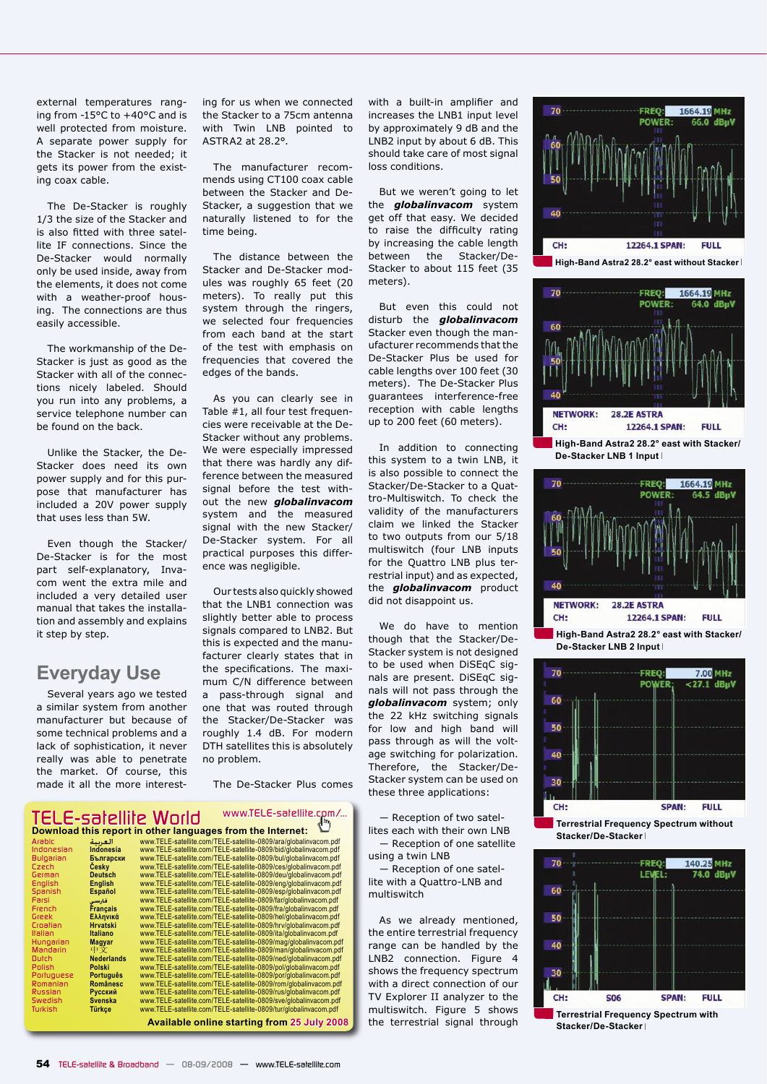external temperatures ranging from -15°C to +40°C and is well protected from moisture. A separate power supply for the Stacker is not needed; it gets its power from the existing coax cable.

The De-Stacker is roughly 1/3 the size of the Stacker and is also fitted with three satellite IF connections. Since the De-Stacker would normally only be used inside, away from the elements, it does not come with a weather-proof housing. The connections are thus easily accessible.

The workmanship of the De-Stacker is just as good as the Stacker with all of the connections nicely labeled. Should you run into any problems, a service telephone number can be found on the back.

Unlike the Stacker, the De-Stacker does need its own power supply and for this purpose that manufacturer has included a 20V power supply that uses less than 5W.

Even though the Stacker/ De-Stacker is for the most part self-explanatory, Invacom went the extra mile and included a very detailed user manual that takes the installation and assembly and explains it step by step.

#### **Everyday Use**

Several years ago we tested a similar system from another manufacturer but because of some technical problems and a lack of sophistication, it never really was able to penetrate the market. Of course, this made it all the more interesting for us when we connected the Stacker to a 75cm antenna with Twin LNB pointed to ASTRA2 at 28.2°.

The manufacturer recommends using CT100 coax cable between the Stacker and De-Stacker, a suggestion that we naturally listened to for the time being.

The distance between the Stacker and De-Stacker modules was roughly 65 feet (20 meters). To really put this system through the ringers, we selected four frequencies from each band at the start of the test with emphasis on frequencies that covered the edges of the bands.

As you can clearly see in Table #1, all four test frequencies were receivable at the De-Stacker without any problems. We were especially impressed that there was hardly any difference between the measured signal before the test without the new *globalinvacom* system and the measured signal with the new Stacker/ De-Stacker system. For all practical purposes this difference was negligible.

Our tests also quickly showed that the LNB1 connection was slightly better able to process signals compared to LNB2. But this is expected and the manufacturer clearly states that in the specifications. The maximum C/N difference between a pass-through signal and one that was routed through the Stacker/De-Stacker was roughly 1.4 dB. For modern DTH satellites this is absolutely no problem.

The De-Stacker Plus comes

#### *TELE-satellite World www.TELE-satellite.com/...* **Download this report in other languages from the Internet:**

| Arabic     | العربية           | www.TELE-satellite.com/TELE-satellite-0809/ara/globalinvacom.pdf |
|------------|-------------------|------------------------------------------------------------------|
| Indonesian | Indonesia         | www.TELE-satellite.com/TELE-satellite-0809/bid/globalinvacom.pdf |
| Bulgarian  | Български         | www.TELE-satellite.com/TELE-satellite-0809/bul/globalinvacom.pdf |
| Czech      | Cesky             | www.TELE-satellite.com/TELE-satellite-0809/ces/globalinvacom.pdf |
| German     | <b>Deutsch</b>    | www.TELE-satellite.com/TELE-satellite-0809/deu/globalinvacom.pdf |
| English    | English           | www.TELE-satellite.com/TELE-satellite-0809/eng/globalinvacom.pdf |
| Soanish    | Español           | www.TELE-satellite.com/TELE-satellite-0809/esp/globalinvacom.pdf |
| Farsi      | فارسى             | www.TELE-satellite.com/TELE-satellite-0809/far/qlobalinvacom.pdf |
| French     | <b>Français</b>   | www.TELE-satellite.com/TELE-satellite-0809/fra/globalinvacom.pdf |
| Greek      | Ελληνικά          | www.TELE-satellite.com/TELE-satellite-0809/hel/globalinvacom.pdf |
| Croatian   | <b>Hrvatski</b>   | www.TELE-satellite.com/TELE-satellite-0809/hrv/globalinvacom.pdf |
| Italian    | <b>Italiano</b>   | www.TELE-satellite.com/TELE-satellite-0809/ita/globalinvacom.pdf |
| Hungarian  | Magyar            | www.TELE-satellite.com/TELE-satellite-0809/mag/globalinvacom.pdf |
| Mandarin   | 中文                | www.TELE-satellite.com/TELE-satellite-0809/man/globalinvacom.pdf |
| Dutch      | <b>Nederlands</b> | www.TELE-satellite.com/TELE-satellite-0809/ned/globalinvacom.pdf |
| Polish     | Polski            | www.TELE-satellite.com/TELE-satellite-0809/pol/globalinvacom.pdf |
| Portuguese | Portuauês         | www.TELE-satellite.com/TELE-satellite-0809/por/globalinvacom.pdf |
| Romanian   | <b>Românesc</b>   | www.TELE-satellite.com/TELE-satellite-0809/rom/globalinvacom.pdf |
| Russian    | Русский           | www.TELE-satellite.com/TELE-satellite-0809/rus/globalinvacom.pdf |
| Swedish    | <b>Svenska</b>    | www.TELE-satellite.com/TELE-satellite-0809/sve/globalinvacom.pdf |
| Turkish    | Türkçe            | www.TELE-satellite.com/TELE-satellite-0809/tur/globalinvacom.pdf |
|            |                   | <b>Available online starting from 25 July 2008</b>               |

with a built-in amplifier and increases the LNB1 input level by approximately 9 dB and the LNB2 input by about 6 dB. This should take care of most signal loss conditions.

But we weren't going to let the *globalinvacom* system get off that easy. We decided to raise the difficulty rating by increasing the cable length between the Stacker/De-Stacker to about 115 feet (35 meters).

But even this could not disturb the *globalinvacom* Stacker even though the manufacturer recommends that the De-Stacker Plus be used for cable lengths over 100 feet (30 meters). The De-Stacker Plus guarantees interference-free reception with cable lengths up to 200 feet (60 meters).

In addition to connecting this system to a twin LNB, it is also possible to connect the Stacker/De-Stacker to a Quattro-Multiswitch. To check the validity of the manufacturers claim we linked the Stacker to two outputs from our 5/18 multiswitch (four LNB inputs for the Quattro LNB plus terrestrial input) and as expected, the *globalinvacom* product did not disappoint us.

We do have to mention though that the Stacker/De-Stacker system is not designed to be used when DiSEqC signals are present. DiSEqC signals will not pass through the *globalinvacom* system; only the 22 kHz switching signals for low and high band will pass through as will the voltage switching for polarization. Therefore, the Stacker/De-Stacker system can be used on these three applications:

― Reception of two satellites each with their own LNB

― Reception of one satellite using a twin LNB ― Reception of one satellite with a Quattro-LNB and

multiswitch

As we already mentioned, the entire terrestrial frequency range can be handled by the LNB2 connection. Figure 4 shows the frequency spectrum with a direct connection of our TV Explorer II analyzer to the multiswitch. Figure 5 shows the terrestrial signal through





**De-Stacker LNB 1 Input** 



**High-Band Astra2 28.2° east with Stacker/ De-Stacker LNB 2 Input** 



**Terrestrial Frequency Spectrum without Stacker/De-Stacker** 



**Terrestrial Frequency Spectrum with Stacker/De-Stacker**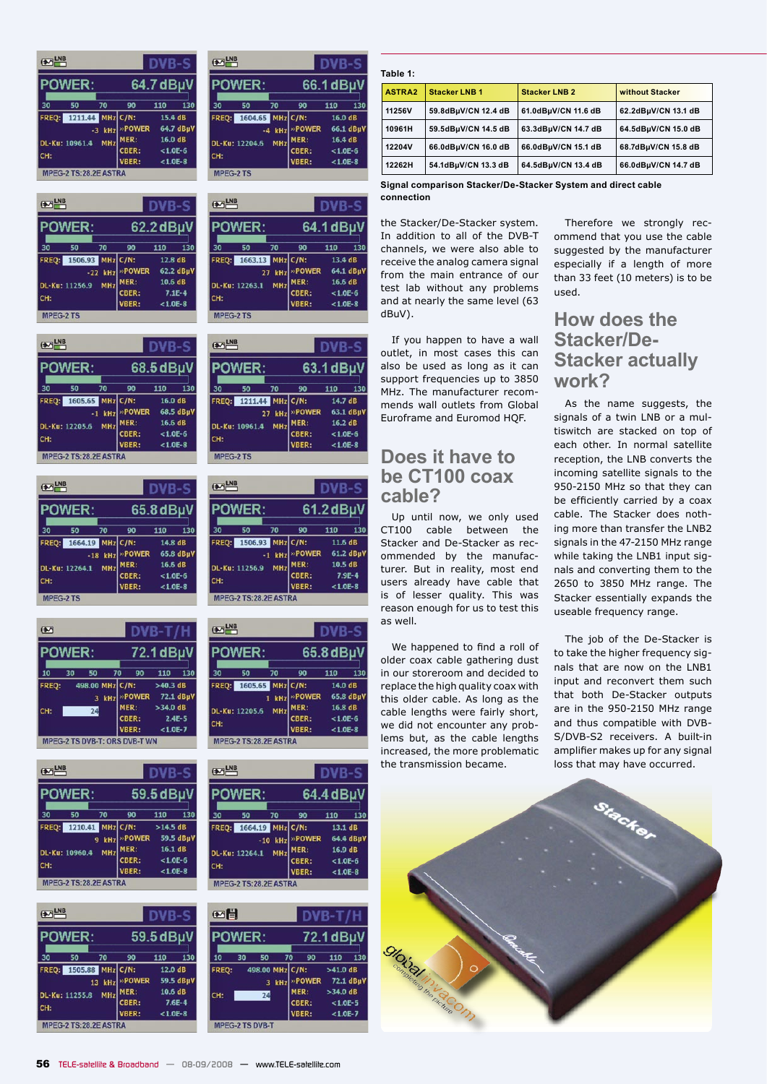| $\bigoplus$ LNB |                                    |                      |                                         | DVB-                                               |           |
|-----------------|------------------------------------|----------------------|-----------------------------------------|----------------------------------------------------|-----------|
|                 | <b>POWER:</b>                      |                      |                                         | 64.7 dBµ\                                          |           |
| 30              | 50                                 | 70                   | 90                                      | 110                                                | 130       |
| FREQ:<br>CH:    | 1211.44 MHz C/N:<br>DL-Ku: 10961.4 | -3 kHz<br><b>MHz</b> | <b>»POWER</b><br>MER:<br>CBER:<br>VBER: | 15.4 dB<br>16.0 dB<br>$< 1.0E - 6$<br>$< 1.0E - 8$ | 64.7 dBµV |
|                 | MPEG-2 TS:28.2E ASTRA              |                      |                                         |                                                    |           |

| $\sum_{i=1}^{N}$ |                        |            |        | DVR-:        |           |
|------------------|------------------------|------------|--------|--------------|-----------|
|                  | <b>POWER:</b>          |            |        | 62.2 dBµV    |           |
| 30               | 50                     | 70         | 90     | 110          | 130       |
|                  | FREQ: 1506.93 MHz C/N: |            |        | 12.8 dB      |           |
|                  |                        | $-22$ kHz  | »POWER |              | 62.2 dBµ\ |
|                  | DL-Ku: 11256.9         | <b>MHz</b> | MER:   | 10.6 dB      |           |
| CH:              |                        |            | CBER:  | $7.1E-4$     |           |
|                  |                        |            | VBER:  | $< 1.0E - 8$ |           |
| <b>MPEG-2 TS</b> |                        |            |        |              |           |

| $\sum_{i=1}^{N}$ |                       |          |        | DVR-         |           |
|------------------|-----------------------|----------|--------|--------------|-----------|
|                  | <b>POWER:</b>         |          |        | 68.5 dBµV    |           |
| 30               | 50                    | 70       | 90     | 110          | 130       |
| FREQ:            | 1605.65 MHz C/N:      |          |        | 16.0 dB      |           |
|                  |                       | $-1$ kHz | »POWER |              | 68.5 dBuV |
|                  | DL-Ku: 12205.6        | MHz      | MER:   | 16.6 dB      |           |
| CH:              |                       |          | CBER:  | $< 1.0E - 6$ |           |
|                  |                       |          | VBER:  | $< 1.0F - 8$ |           |
|                  | MPEG-2 TS:28.2E ASTRA |          |        |              |           |

| $\bigoplus$ LNB  |                        |            |        |              |           |
|------------------|------------------------|------------|--------|--------------|-----------|
|                  | <b>POWER:</b>          |            |        | 65.8 dBµV    |           |
| 30               | 50                     | 70         | 90     | 110          | 130       |
|                  | FREQ: 1664.19 MHz C/N: |            |        | 14.8 dB      |           |
|                  |                        | $-18$ kHz  | »POWER |              | 65.8 dBuV |
|                  | DL-Ku: 12264.1         | <b>MHz</b> | MER:   | 16.6 dB      |           |
| CH:              |                        |            | CBER:  | $< 1.0E - 6$ |           |
|                  |                        |            | VBER:  | $< 1.0E - 8$ |           |
| <b>MPEG-2 TS</b> |                        |            |        |              |           |

| $\overline{(\ast)}$ |                                      |    |         |                 |              |           |  |  |
|---------------------|--------------------------------------|----|---------|-----------------|--------------|-----------|--|--|
| <b>POWER:</b>       |                                      |    |         |                 | 72.1 dBµV    |           |  |  |
| 10                  | 30                                   | 50 | 70      | 90              | 110          | 130       |  |  |
| FREO:               |                                      |    |         | 498.00 MHz C/N: | $>40.3$ dB   |           |  |  |
|                     |                                      |    | $3$ kHz | »POWER          |              | 72.1 dBµV |  |  |
| CH:                 |                                      | 24 |         | MER:            | $>34.0$ dB   |           |  |  |
|                     |                                      |    |         | CBER:           |              | $2.4F-5$  |  |  |
|                     |                                      |    |         | VBER:           | $< 1.0E - 7$ |           |  |  |
|                     | <b>MPEG-2 TS DVB-T: ORS DVB-T WN</b> |    |         |                 |              |           |  |  |

| $\bigoplus$ LNB            |                       |     |        | DVB-         |           |
|----------------------------|-----------------------|-----|--------|--------------|-----------|
| <b>POWER:</b><br>59.5 dBµV |                       |     |        |              |           |
| 30                         | 50                    | 70  | 90     | 110          | 130       |
| FREQ:                      | 1210.41 MHz C/N:      |     |        | $>14.5$ dB   |           |
|                            |                       | kHz | »POWER |              | 59.5 dBµV |
|                            | DL-Ku: 10960.4        | MHz | MER:   | 16.1 dB      |           |
| CH:                        |                       |     | CBER:  | $< 1.0E - 6$ |           |
|                            |                       |     | VBER:  | $< 1.0E - 8$ |           |
|                            | MPEG-2 TS:28.2E ASTRA |     |        |              |           |

| $\frac{LNB}{2}$                           |                        |    |                | DVB-                     |     |
|-------------------------------------------|------------------------|----|----------------|--------------------------|-----|
|                                           | <b>POWER:</b>          |    |                | 59.5 dBµV                |     |
| 30                                        | 50                     | 70 | 90             | 110                      | 130 |
|                                           | FREQ: 1505.88 MHz C/N: |    |                | 12.0 dB                  |     |
| kHz<br>13<br><b>MHz</b><br>DL-Ku: 11255.8 |                        |    | »POWER<br>MER: | 59.5 dBµ\<br>10.6 dB     |     |
| CH:                                       |                        |    | CBER:<br>VBER: | $7.6E-4$<br>$< 1.0E - 8$ |     |
|                                           | MPEG-2 TS:28.2E ASTRA  |    |                |                          |     |

|                  | $\bigotimes$ LNB       |            |              |              |           |
|------------------|------------------------|------------|--------------|--------------|-----------|
|                  | <b>POWER:</b>          | 66.1 dBµV  |              |              |           |
| 30               | 50                     | 70         | 90           | 110          | 130       |
|                  | FREQ: 1604.65 MHz C/N: |            |              | 16.0 dB      |           |
|                  |                        | $-4$ kHz   | »POWER       |              | 66.1 dBµV |
|                  | DL-Ku: 12204.6         | <b>MHz</b> | MER:         | 16.4 dB      |           |
| CH:              |                        |            | <b>CBER:</b> | $< 1.0E - 6$ |           |
|                  |                        |            | <b>VBER:</b> | $< 1.0E - 8$ |           |
| <b>MPEG-2 TS</b> |                        |            |              |              |           |

| $\bigoplus$ LNB            |                        |        |              | DVR-         |           |  |
|----------------------------|------------------------|--------|--------------|--------------|-----------|--|
| <b>POWER:</b><br>64.1 dBµV |                        |        |              |              |           |  |
| 30                         | 50                     | 70     | 90           | 110          | 130       |  |
|                            | FREQ: 1663.13 MHz C/N: |        |              | 13.4 dB      |           |  |
|                            |                        | 27 kHz | »POWER       |              | 64.1 dBµV |  |
|                            | DL-Ku: 12263.1         | MHz    | MER:         | 16.6 dB      |           |  |
| CH:                        |                        |        | CBER:        | $< 1.0E - 6$ |           |  |
|                            |                        |        | <b>VBER:</b> | $< 1.0E - 8$ |           |  |

| $\bigoplus$ LNB |                        |        |              | DVR-         |           |
|-----------------|------------------------|--------|--------------|--------------|-----------|
|                 | <b>POWER:</b>          |        |              | 63.1 dBµV    |           |
| 30              | 50                     | 70     | 90           | 110          | 130       |
|                 | FREQ: 1211.44 MHz C/N: |        |              | 14.7 dB      |           |
|                 |                        | 27 kHz | »POWER       |              | 63.1 dBµV |
|                 | DL-Ku: 10961.4         | MHz    | MER:         | 16.2 dB      |           |
| CH:             |                        |        | CBER:        | $< 1.0E - 6$ |           |
|                 |                        |        | <b>VBER:</b> | $< 1.0E - 8$ |           |
| <b>MPEG-2TS</b> |                        |        |              |              |           |

|       | $\bigotimes$ LNB      |          |              | DVB-!        |           |
|-------|-----------------------|----------|--------------|--------------|-----------|
|       | <b>POWER:</b>         |          |              | $61.2$ dBµV  |           |
| 30    | 50                    | 70       | 90           | 110          | 130       |
| FREQ: | 1506.93 MHz C/N:      |          |              | 11.6 dB      |           |
|       |                       | $-1$ kHz | »POWER       |              | 61.2 dBµV |
|       | DL-Ku: 11256.9        | MHz      | MER.         | 10.5 dB      |           |
| CH:   |                       |          | CBER:        |              | $7.9F-4$  |
|       |                       |          | <b>VBER:</b> | $< 1.0E - 8$ |           |
|       | MPEG-2 TS:28.2E ASTRA |          |              |              |           |

| $\overline{(\ast)}$          |               |                       |        |              |     |
|------------------------------|---------------|-----------------------|--------|--------------|-----|
|                              | <b>POWER:</b> |                       |        | 65.8 dBµV    |     |
| 30                           | 50            | 70                    | 90     | 110          | 130 |
| <b>FREQ:</b>                 |               | 1605.65 MHz C/N:      |        | 14.0 dB      |     |
|                              |               | $1$ kHz               | »POWER | 65.8 dBµ\    |     |
| MHz<br>DL-Ku: 12205.6<br>CH: |               |                       | MER:   | 16.8 dB      |     |
|                              |               |                       | CBER:  | $< 1.0E - 6$ |     |
|                              |               |                       | VBER:  | $< 1.0E - 8$ |     |
|                              |               | MPEG-2 TS:28.2E ASTRA |        |              |     |

|    | <b>EXT LNB</b>                           |                         |                         | DVR-                                        |           |  |
|----|------------------------------------------|-------------------------|-------------------------|---------------------------------------------|-----------|--|
|    | <b>POWER:</b>                            |                         |                         | 64.4 dBµV                                   |           |  |
| 30 | 50                                       | 70                      | 90                      | 110                                         | 130       |  |
|    | FREQ: 1664.19 MHz C/N:<br>DL-Ku: 12264.1 | $-10$ kHz<br><b>MHz</b> | »POWER<br>MER:<br>CBER: | $13.1 \text{ dB}$<br>16.9dB<br>$< 1.0E - 6$ | 64.4 dBuV |  |
|    | CH:<br>MPEG-2 TS:28.2E ASTRA             |                         | VBER:                   | $< 1.0E - 8$                                |           |  |

| <b>POWER:</b> |    |                 |       |              |        | 72.1 dBµV    |           |
|---------------|----|-----------------|-------|--------------|--------|--------------|-----------|
| 10            | 30 | 50              | 70    |              | 90     | 110          | 130       |
| FREQ:         |    | 498.00 MHz C/N: |       |              |        | $>41.0$ dB   |           |
|               |    |                 | 3 kHz |              | »POWER |              | 72.1 dBuV |
| CH:           |    | 24              |       | MER:         |        | $>34.0$ dB   |           |
|               |    |                 |       | <b>CBER:</b> |        | $< 1.0E - 5$ |           |
|               |    |                 |       | <b>VBER:</b> |        | $< 1.0E - 7$ |           |

#### **Table 1:**

| ASTRA2 | <b>Stacker LNB 1</b> | <b>Stacker LNB 2</b> | without Stacker     |
|--------|----------------------|----------------------|---------------------|
| 11256V | 59.8dBµV/CN 12.4 dB  | 61.0dBµV/CN 11.6 dB  | 62.2dBµV/CN 13.1 dB |
| 10961H | 59.5dBµV/CN 14.5 dB  | 63.3dBµV/CN 14.7 dB  | 64.5dBµV/CN 15.0 dB |
| 12204V | 66.0dBµV/CN 16.0 dB  | 66.0dBµV/CN 15.1 dB  | 68.7dBµV/CN 15.8 dB |
| 12262H | 54.1dBµV/CN 13.3 dB  | 64.5dBµV/CN 13.4 dB  | 66.0dBµV/CN 14.7 dB |

**Signal comparison Stacker/De-Stacker System and direct cable connection**

the Stacker/De-Stacker system. In addition to all of the DVB-T channels, we were also able to receive the analog camera signal from the main entrance of our test lab without any problems and at nearly the same level (63 dBuV).

If you happen to have a wall outlet, in most cases this can also be used as long as it can support frequencies up to 3850 MHz. The manufacturer recommends wall outlets from Global Euroframe and Euromod HQF.

#### **Does it have to be CT100 coax cable?**

Up until now, we only used CT100 cable between the Stacker and De-Stacker as recommended by the manufacturer. But in reality, most end users already have cable that is of lesser quality. This was reason enough for us to test this as well.

We happened to find a roll of older coax cable gathering dust in our storeroom and decided to replace the high quality coax with this older cable. As long as the cable lengths were fairly short, we did not encounter any problems but, as the cable lengths increased, the more problematic the transmission became.

Therefore we strongly recommend that you use the cable suggested by the manufacturer especially if a length of more than 33 feet (10 meters) is to be used.

### **How does the Stacker/De-Stacker actually work?**

As the name suggests, the signals of a twin LNB or a multiswitch are stacked on top of each other. In normal satellite reception, the LNB converts the incoming satellite signals to the 950-2150 MHz so that they can be efficiently carried by a coax cable. The Stacker does nothing more than transfer the LNB2 signals in the 47-2150 MHz range while taking the LNB1 input signals and converting them to the 2650 to 3850 MHz range. The Stacker essentially expands the useable frequency range.

The job of the De-Stacker is to take the higher frequency signals that are now on the LNB1 input and reconvert them such that both De-Stacker outputs are in the 950-2150 MHz range and thus compatible with DVB-S/DVB-S2 receivers. A built-in amplifier makes up for any signal loss that may have occurred.